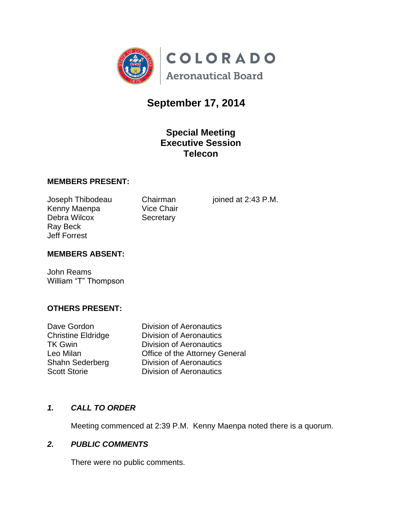

# **September 17, 2014**

## **Special Meeting Executive Session Telecon**

#### **MEMBERS PRESENT:**

Kenny Maenpa Vice Chair Debra Wilcox Secretary Ray Beck Jeff Forrest

Joseph Thibodeau Chairman joined at 2:43 P.M.

#### **MEMBERS ABSENT:**

John Reams William "T" Thompson

#### **OTHERS PRESENT:**

Dave Gordon Division of Aeronautics Christine Eldridge **Division of Aeronautics** TK Gwin **Division of Aeronautics** Leo Milan Office of the Attorney General Shahn Sederberg Division of Aeronautics Scott Storie **Division of Aeronautics** 

#### *1. CALL TO ORDER*

Meeting commenced at 2:39 P.M. Kenny Maenpa noted there is a quorum.

#### *2. PUBLIC COMMENTS*

There were no public comments.